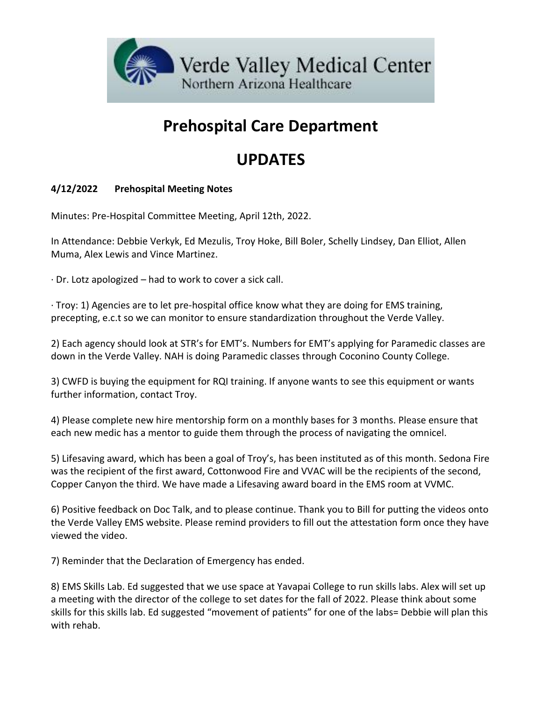

# **Prehospital Care Department**

## **UPDATES**

#### **4/12/2022 Prehospital Meeting Notes**

Minutes: Pre-Hospital Committee Meeting, April 12th, 2022.

In Attendance: Debbie Verkyk, Ed Mezulis, Troy Hoke, Bill Boler, Schelly Lindsey, Dan Elliot, Allen Muma, Alex Lewis and Vince Martinez.

· Dr. Lotz apologized – had to work to cover a sick call.

· Troy: 1) Agencies are to let pre-hospital office know what they are doing for EMS training, precepting, e.c.t so we can monitor to ensure standardization throughout the Verde Valley.

2) Each agency should look at STR's for EMT's. Numbers for EMT's applying for Paramedic classes are down in the Verde Valley. NAH is doing Paramedic classes through Coconino County College.

3) CWFD is buying the equipment for RQI training. If anyone wants to see this equipment or wants further information, contact Troy.

4) Please complete new hire mentorship form on a monthly bases for 3 months. Please ensure that each new medic has a mentor to guide them through the process of navigating the omnicel.

5) Lifesaving award, which has been a goal of Troy's, has been instituted as of this month. Sedona Fire was the recipient of the first award, Cottonwood Fire and VVAC will be the recipients of the second, Copper Canyon the third. We have made a Lifesaving award board in the EMS room at VVMC.

6) Positive feedback on Doc Talk, and to please continue. Thank you to Bill for putting the videos onto the Verde Valley EMS website. Please remind providers to fill out the attestation form once they have viewed the video.

7) Reminder that the Declaration of Emergency has ended.

8) EMS Skills Lab. Ed suggested that we use space at Yavapai College to run skills labs. Alex will set up a meeting with the director of the college to set dates for the fall of 2022. Please think about some skills for this skills lab. Ed suggested "movement of patients" for one of the labs= Debbie will plan this with rehab.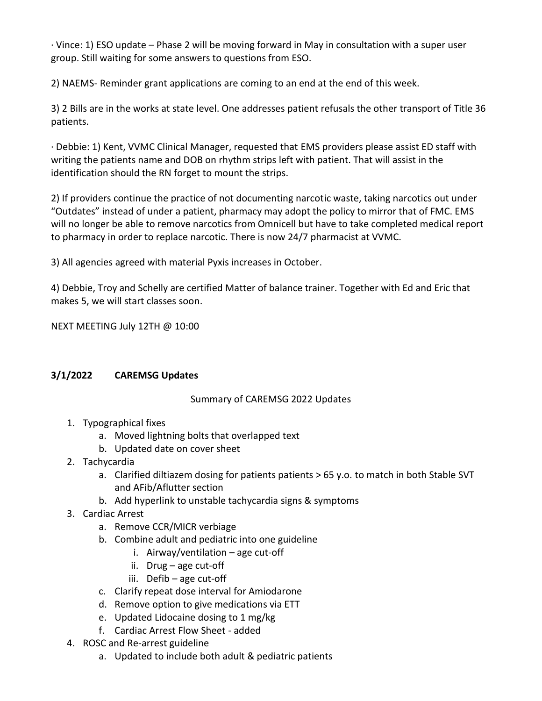· Vince: 1) ESO update – Phase 2 will be moving forward in May in consultation with a super user group. Still waiting for some answers to questions from ESO.

2) NAEMS- Reminder grant applications are coming to an end at the end of this week.

3) 2 Bills are in the works at state level. One addresses patient refusals the other transport of Title 36 patients.

· Debbie: 1) Kent, VVMC Clinical Manager, requested that EMS providers please assist ED staff with writing the patients name and DOB on rhythm strips left with patient. That will assist in the identification should the RN forget to mount the strips.

2) If providers continue the practice of not documenting narcotic waste, taking narcotics out under "Outdates" instead of under a patient, pharmacy may adopt the policy to mirror that of FMC. EMS will no longer be able to remove narcotics from Omnicell but have to take completed medical report to pharmacy in order to replace narcotic. There is now 24/7 pharmacist at VVMC.

3) All agencies agreed with material Pyxis increases in October.

4) Debbie, Troy and Schelly are certified Matter of balance trainer. Together with Ed and Eric that makes 5, we will start classes soon.

NEXT MEETING July 12TH @ 10:00

#### **3/1/2022 CAREMSG Updates**

#### Summary of CAREMSG 2022 Updates

- 1. Typographical fixes
	- a. Moved lightning bolts that overlapped text
	- b. Updated date on cover sheet
- 2. Tachycardia
	- a. Clarified diltiazem dosing for patients patients > 65 y.o. to match in both Stable SVT and AFib/Aflutter section
	- b. Add hyperlink to unstable tachycardia signs & symptoms
- 3. Cardiac Arrest
	- a. Remove CCR/MICR verbiage
	- b. Combine adult and pediatric into one guideline
		- i. Airway/ventilation  $-$  age cut-off
		- ii. Drug age cut-off
		- iii. Defib age cut-off
	- c. Clarify repeat dose interval for Amiodarone
	- d. Remove option to give medications via ETT
	- e. Updated Lidocaine dosing to 1 mg/kg
	- f. Cardiac Arrest Flow Sheet added
- 4. ROSC and Re-arrest guideline
	- a. Updated to include both adult & pediatric patients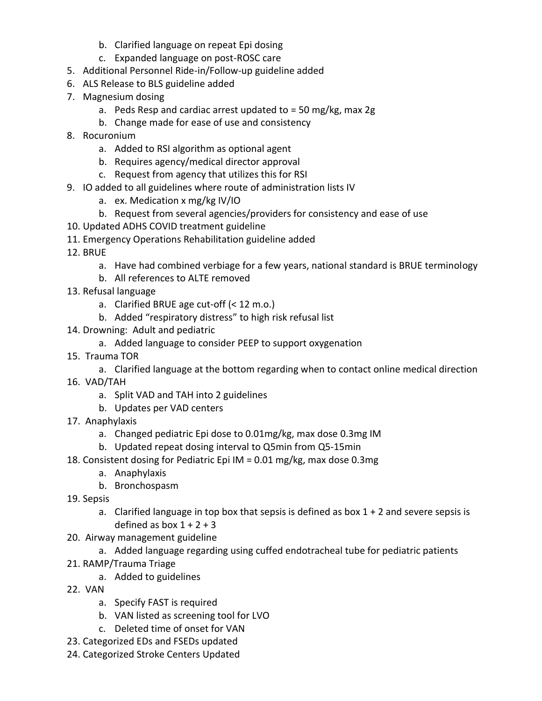- b. Clarified language on repeat Epi dosing
- c. Expanded language on post-ROSC care
- 5. Additional Personnel Ride-in/Follow-up guideline added
- 6. ALS Release to BLS guideline added
- 7. Magnesium dosing
	- a. Peds Resp and cardiac arrest updated to = 50 mg/kg, max 2g
	- b. Change made for ease of use and consistency
- 8. Rocuronium
	- a. Added to RSI algorithm as optional agent
	- b. Requires agency/medical director approval
	- c. Request from agency that utilizes this for RSI
- 9. IO added to all guidelines where route of administration lists IV
	- a. ex. Medication x mg/kg IV/IO
	- b. Request from several agencies/providers for consistency and ease of use
- 10. Updated ADHS COVID treatment guideline
- 11. Emergency Operations Rehabilitation guideline added
- 12. BRUE
	- a. Have had combined verbiage for a few years, national standard is BRUE terminology
	- b. All references to ALTE removed
- 13. Refusal language
	- a. Clarified BRUE age cut-off (< 12 m.o.)
	- b. Added "respiratory distress" to high risk refusal list
- 14. Drowning: Adult and pediatric
	- a. Added language to consider PEEP to support oxygenation
- 15. Trauma TOR
	- a. Clarified language at the bottom regarding when to contact online medical direction
- 16. VAD/TAH
	- a. Split VAD and TAH into 2 guidelines
	- b. Updates per VAD centers
- 17. Anaphylaxis
	- a. Changed pediatric Epi dose to 0.01mg/kg, max dose 0.3mg IM
	- b. Updated repeat dosing interval to Q5min from Q5-15min
- 18. Consistent dosing for Pediatric Epi IM = 0.01 mg/kg, max dose 0.3mg
	- a. Anaphylaxis
	- b. Bronchospasm
- 19. Sepsis
	- a. Clarified language in top box that sepsis is defined as box  $1 + 2$  and severe sepsis is defined as box  $1 + 2 + 3$
- 20. Airway management guideline
	- a. Added language regarding using cuffed endotracheal tube for pediatric patients
- 21. RAMP/Trauma Triage
	- a. Added to guidelines
- 22. VAN
	- a. Specify FAST is required
	- b. VAN listed as screening tool for LVO
	- c. Deleted time of onset for VAN
- 23. Categorized EDs and FSEDs updated
- 24. Categorized Stroke Centers Updated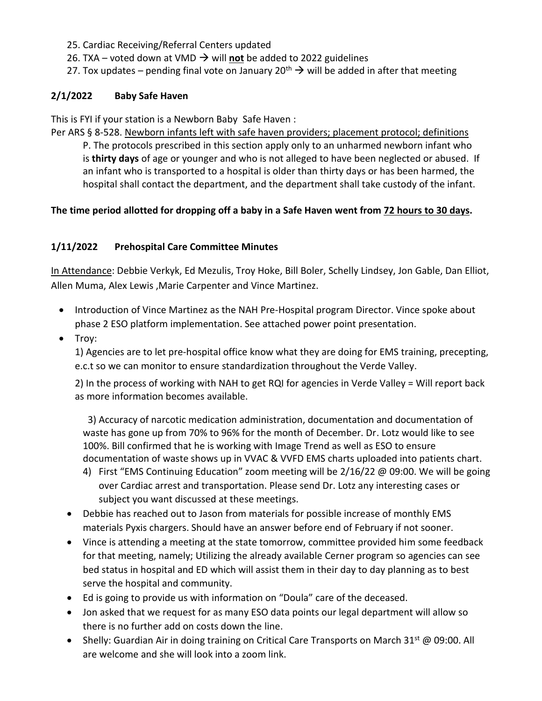- 25. Cardiac Receiving/Referral Centers updated
- 26. TXA voted down at VMD  $\rightarrow$  will not be added to 2022 guidelines
- 27. Tox updates pending final vote on January 20<sup>th</sup>  $\rightarrow$  will be added in after that meeting

### **2/1/2022 Baby Safe Haven**

This is FYI if your station is a Newborn Baby Safe Haven :

Per ARS § 8-528. Newborn infants left with safe haven providers; placement protocol; definitions P. The protocols prescribed in this section apply only to an unharmed newborn infant who is **thirty days** of age or younger and who is not alleged to have been neglected or abused. If an infant who is transported to a hospital is older than thirty days or has been harmed, the hospital shall contact the department, and the department shall take custody of the infant.

## The time period allotted for dropping off a baby in a Safe Haven went from 72 hours to 30 days.

#### **1/11/2022 Prehospital Care Committee Minutes**

In Attendance: Debbie Verkyk, Ed Mezulis, Troy Hoke, Bill Boler, Schelly Lindsey, Jon Gable, Dan Elliot, Allen Muma, Alex Lewis ,Marie Carpenter and Vince Martinez.

- Introduction of Vince Martinez as the NAH Pre-Hospital program Director. Vince spoke about phase 2 ESO platform implementation. See attached power point presentation.
- Troy:

1) Agencies are to let pre-hospital office know what they are doing for EMS training, precepting, e.c.t so we can monitor to ensure standardization throughout the Verde Valley.

2) In the process of working with NAH to get RQI for agencies in Verde Valley = Will report back as more information becomes available.

 3) Accuracy of narcotic medication administration, documentation and documentation of waste has gone up from 70% to 96% for the month of December. Dr. Lotz would like to see 100%. Bill confirmed that he is working with Image Trend as well as ESO to ensure documentation of waste shows up in VVAC & VVFD EMS charts uploaded into patients chart.

- 4) First "EMS Continuing Education" zoom meeting will be 2/16/22 @ 09:00. We will be going over Cardiac arrest and transportation. Please send Dr. Lotz any interesting cases or subject you want discussed at these meetings.
- Debbie has reached out to Jason from materials for possible increase of monthly EMS materials Pyxis chargers. Should have an answer before end of February if not sooner.
- Vince is attending a meeting at the state tomorrow, committee provided him some feedback for that meeting, namely; Utilizing the already available Cerner program so agencies can see bed status in hospital and ED which will assist them in their day to day planning as to best serve the hospital and community.
- Ed is going to provide us with information on "Doula" care of the deceased.
- Jon asked that we request for as many ESO data points our legal department will allow so there is no further add on costs down the line.
- Shelly: Guardian Air in doing training on Critical Care Transports on March 31<sup>st</sup> @ 09:00. All are welcome and she will look into a zoom link.